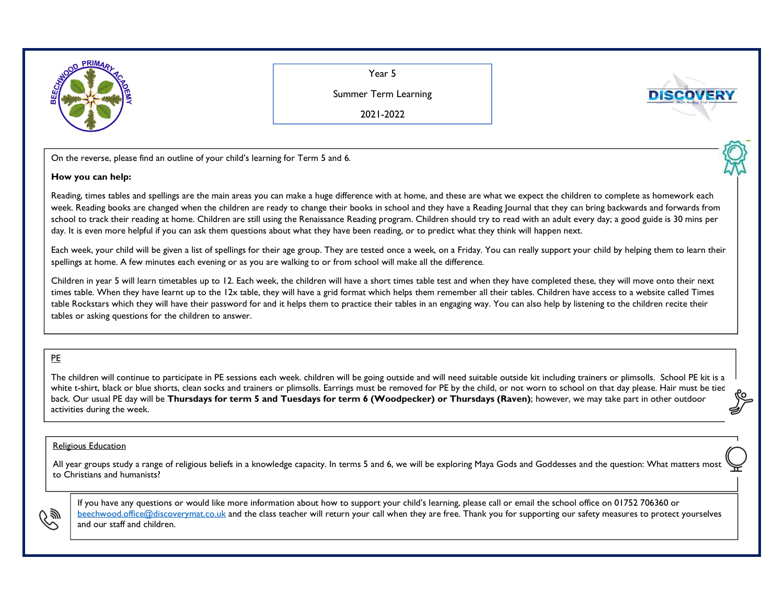

Year 5

Summer Term Learning

2021-2022

On the reverse, please find an outline of your child's learning for Term <sup>5</sup> and 6.

## **How you can help:**

Reading, times tables and spellings are the main areas you can make a huge difference with at home, and these are what we expect the children to complete as homework each week. Reading books are changed when the children are ready to change their books in school and they have a Reading Journal that they can bring backwards and forwards from school to track their reading at home. Children are still using the Renaissance Reading program. Children should try to read with an adult every day; a good guide is 30 mins per day. It is even more helpful if you can ask them questions about what they have been reading, or to predict what they think will happen next.

Each week, your child will be given a list of spellings for their age group. They are tested once a week, on a Friday. You can really support your child by helping them to learn their spellings at home. A few minutes each evening or as you are walking to or from school will make all the difference.

Children in year 5 will learn timetables up to 12. Each week, the children will have a short times table test and when they have completed these, they will move onto their next times table. When they have learnt up to the 12x table, they will have a grid format which helps them remember all their tables. Children have access to a website called Times table Rockstars which they will have their password for and it helps them to practice their tables in an engaging way. You can also help by listening to the children recite their tables or asking questions for the children to answer.

## PE

The children will continue to participate in PE sessions each week. children will be going outside and will need suitable outside kit including trainers or plimsolls. School PE kit is a white t-shirt, black or blue shorts, clean socks and trainers or plimsolls. Earrings must be removed for PE by the child, or not worn to school on that day please. Hair must be tied back. Our usual PE day will be **Thursdays for term 5 and Tuesdays for term 6 (Woodpecker) or Thursdays (Raven)**; however, we may take part in other outdoor activities during the week.

## Religious Education

All year groups study a range of religious beliefs in a knowledge capacity. In terms 5 and 6, we will be exploring Maya Gods and Goddesses and the question: What matters most to Christians and humanists?



If you have any questions or would like more information about how to support your child's learning, please call or email the school office on 01752 706360 or beechwood.office@discoverymat.co.uk and the class teacher will return your call when they are free. Thank you for supporting our safety measures to protect yourselves and our staff and children.